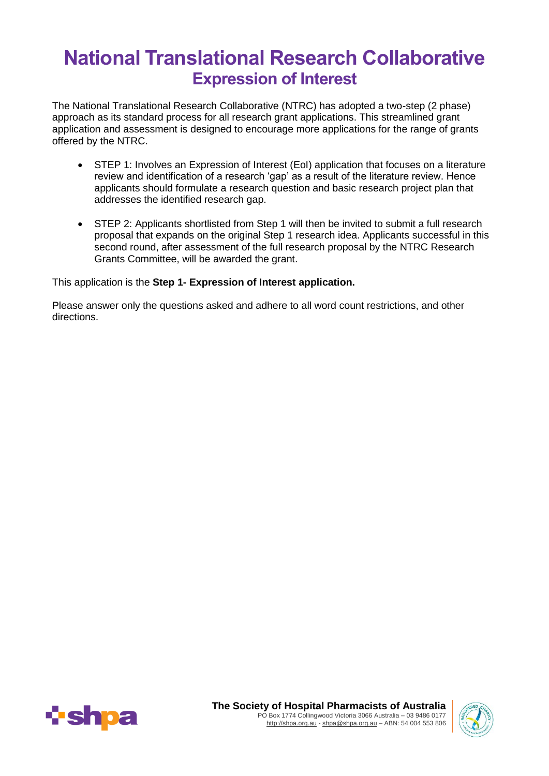# **National Translational Research Collaborative Expression of Interest**

The National Translational Research Collaborative (NTRC) has adopted a two-step (2 phase) approach as its standard process for all research grant applications. This streamlined grant application and assessment is designed to encourage more applications for the range of grants offered by the NTRC.

- STEP 1: Involves an Expression of Interest (EoI) application that focuses on a literature review and identification of a research 'gap' as a result of the literature review. Hence applicants should formulate a research question and basic research project plan that addresses the identified research gap.
- STEP 2: Applicants shortlisted from Step 1 will then be invited to submit a full research proposal that expands on the original Step 1 research idea. Applicants successful in this second round, after assessment of the full research proposal by the NTRC Research Grants Committee, will be awarded the grant.

This application is the **Step 1- Expression of Interest application.** 

Please answer only the questions asked and adhere to all word count restrictions, and other directions.



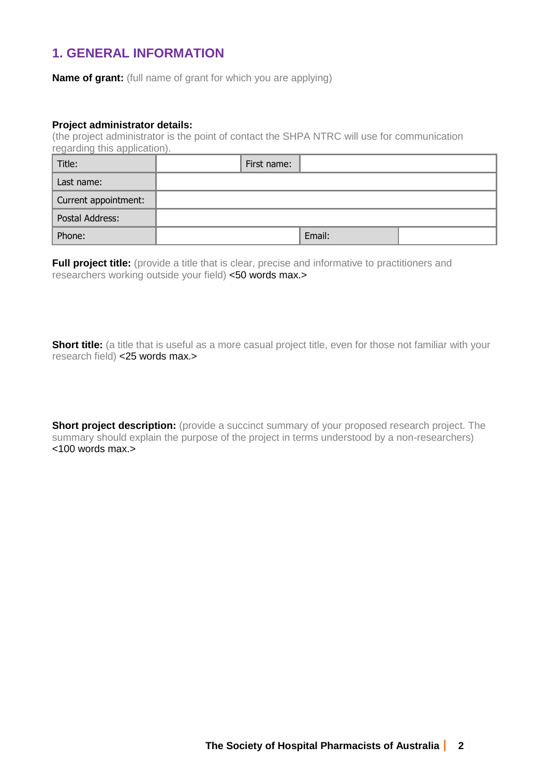# **1. GENERAL INFORMATION**

**Name of grant:** (full name of grant for which you are applying)

#### **Project administrator details:**

(the project administrator is the point of contact the SHPA NTRC will use for communication regarding this application).

| Title:               | First name: |        |  |
|----------------------|-------------|--------|--|
| Last name:           |             |        |  |
| Current appointment: |             |        |  |
| Postal Address:      |             |        |  |
| Phone:               |             | Email: |  |

**Full project title:** (provide a title that is clear, precise and informative to practitioners and researchers working outside your field) <50 words max.>

**Short title:** (a title that is useful as a more casual project title, even for those not familiar with your research field) <25 words max.>

**Short project description:** (provide a succinct summary of your proposed research project. The summary should explain the purpose of the project in terms understood by a non-researchers)  $<$ 100 words max. $>$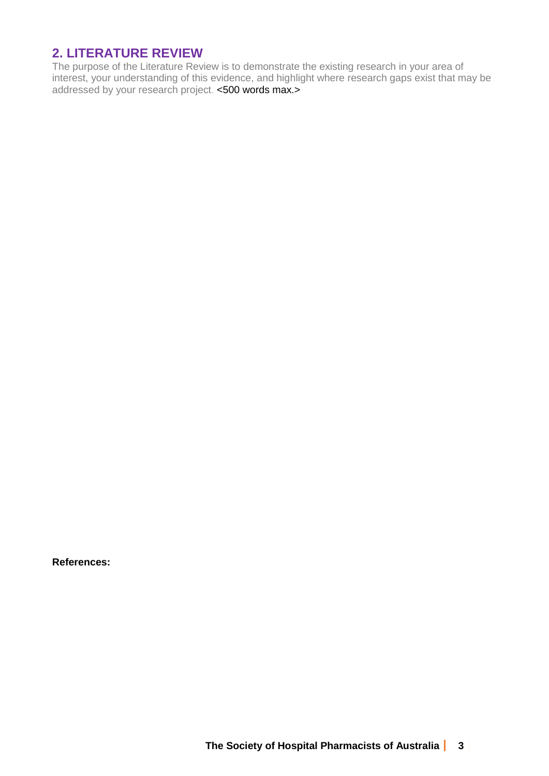# **2. LITERATURE REVIEW**

The purpose of the Literature Review is to demonstrate the existing research in your area of interest, your understanding of this evidence, and highlight where research gaps exist that may be addressed by your research project. <500 words max.>

**References:**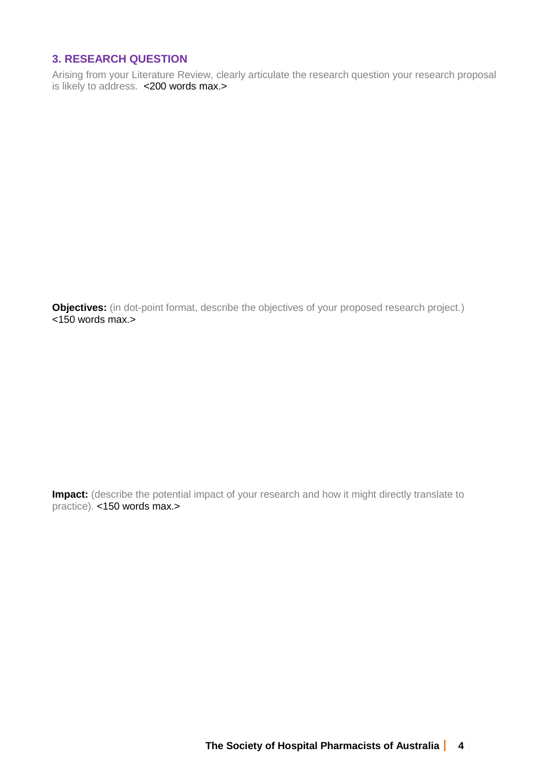## **3. RESEARCH QUESTION**

Arising from your Literature Review, clearly articulate the research question your research proposal is likely to address. <200 words max.>

**Objectives:** (in dot-point format, describe the objectives of your proposed research project.)  $<150$  words max.

**Impact:** (describe the potential impact of your research and how it might directly translate to practice). <150 words max.>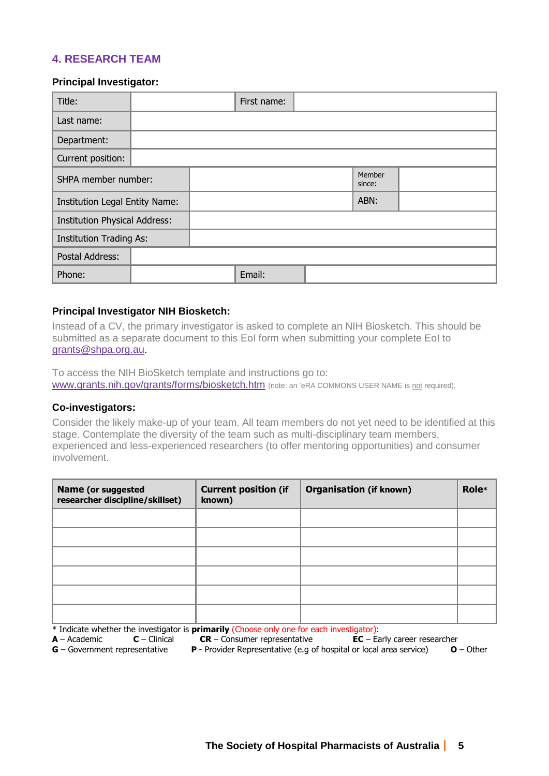### **4. RESEARCH TEAM**

#### **Principal Investigator:**

| Title:                               |  | First name: |                  |  |
|--------------------------------------|--|-------------|------------------|--|
| Last name:                           |  |             |                  |  |
| Department:                          |  |             |                  |  |
| Current position:                    |  |             |                  |  |
| SHPA member number:                  |  |             | Member<br>since: |  |
| Institution Legal Entity Name:       |  |             | ABN:             |  |
| <b>Institution Physical Address:</b> |  |             |                  |  |
| <b>Institution Trading As:</b>       |  |             |                  |  |
| Postal Address:                      |  |             |                  |  |
| Phone:                               |  | Email:      |                  |  |

#### **Principal Investigator NIH Biosketch:**

Instead of a CV, the primary investigator is asked to complete an NIH Biosketch. This should be submitted as a separate document to this EoI form when submitting your complete EoI to [grants@shpa.org.au.](mailto:grants@shpa.org.au)

To access the NIH BioSketch template and instructions go to: [www.grants.nih.gov/grants/forms/biosketch.htm](http://www.grants.nih.gov/grants/forms/biosketch.htm) (note: an 'eRA COMMONS USER NAME is not required).

#### **Co-investigators:**

Consider the likely make-up of your team. All team members do not yet need to be identified at this stage. Contemplate the diversity of the team such as multi-disciplinary team members, experienced and less-experienced researchers (to offer mentoring opportunities) and consumer involvement.

| Name (or suggested<br>researcher discipline/skillset) | <b>Current position (if</b><br>known) | <b>Organisation (if known)</b> | Role* |
|-------------------------------------------------------|---------------------------------------|--------------------------------|-------|
|                                                       |                                       |                                |       |
|                                                       |                                       |                                |       |
|                                                       |                                       |                                |       |
|                                                       |                                       |                                |       |
|                                                       |                                       |                                |       |
|                                                       |                                       |                                |       |

\* Indicate whether the investigator is **primarily** (Choose only one for each investigator):

**CR** – Consumer representative

**G** – Government representative **P** - Provider Representative (e.g of hospital or local area service) **O** – Other